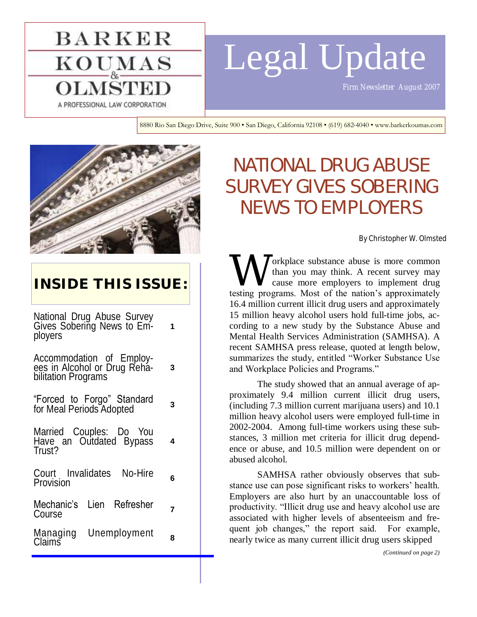# Legal Update

*Firm Newsletter August 2007* 

A PROFESSIONAL LAW CORPORATION

**BARKER** 

 $\underline{\mathrm{KOU}_{\mathrm{A}}\mathrm{MAS}}$ 

8880 Rio San Diego Drive, Suite 900 • San Diego, California 92108 • (619) 682-4040 • www.barkerkoumas.com



# **INSIDE THIS ISSUE:**

National Drug Abuse Survey Gives Sobering News to Employers **1**

Accommodation of Employees in Alcohol or Drug Rehabilitation Programs **3**

"Forced to Forgo" Standard for Meal Periods Adopted **<sup>3</sup>**

Married Couples: Do You Have an Outdated Bypass Trust?

**4**

Court Invalidates No-Hire Provision **<sup>6</sup>**

Mechanic's Lien Refresher **Course** *Profit Fremediate* **7** 

Managing Unemployment wanaying onemployment **8**<br>Claims

# NATIONAL DRUG ABUSE SURVEY GIVES SOBERING NEWS TO EMPLOYERS

By Christopher W. Olmsted

W orkplace substance abuse is more common than you may think. A recent survey may cause more employers to implement drug testing programs. Most of the nation's approximately orkplace substance abuse is more common than you may think. A recent survey may cause more employers to implement drug 16.4 million current illicit drug users and approximately 15 million heavy alcohol users hold full-time jobs, according to a new study by the Substance Abuse and Mental Health Services Administration (SAMHSA). A recent SAMHSA press release, quoted at length below, summarizes the study, entitled "Worker Substance Use and Workplace Policies and Programs."

The study showed that an annual average of approximately 9.4 million current illicit drug users, (including 7.3 million current marijuana users) and 10.1 million heavy alcohol users were employed full-time in 2002-2004. Among full-time workers using these substances, 3 million met criteria for illicit drug dependence or abuse, and 10.5 million were dependent on or abused alcohol.

SAMHSA rather obviously observes that substance use can pose significant risks to workers' health. Employers are also hurt by an unaccountable loss of productivity. "Illicit drug use and heavy alcohol use are associated with higher levels of absenteeism and frequent job changes," the report said. For example, nearly twice as many current illicit drug users skipped

*(Continued on page 2)*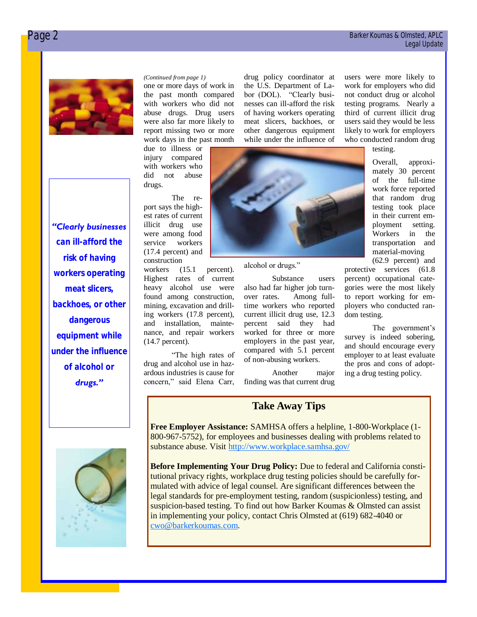work for employers who did not conduct drug or alcohol testing programs. Nearly a third of current illicit drug users said they would be less likely to work for employers who conducted random drug testing.

> Overall, approximately 30 percent of the full-time work force reported that random drug testing took place in their current employment setting. Workers in the transportation and material-moving (62.9 percent) and

protective services (61.8 percent) occupational categories were the most likely to report working for employers who conducted ran-

survey is indeed sobering, and should encourage every employer to at least evaluate the pros and cons of adopting a drug testing policy.

The government's

dom testing.



*"Clearly businesses can ill-afford the risk of having workers operating meat slicers, backhoes, or other dangerous equipment while under the influence of alcohol or drugs."* 

one or more days of work in the past month compared with workers who did not abuse drugs. Drug users were also far more likely to report missing two or more work days in the past month

due to illness or injury compared with workers who did not abuse drugs.

The report says the highest rates of current illicit drug use were among food service workers (17.4 percent) and construction

workers (15.1 percent). Highest rates of current heavy alcohol use were found among construction, mining, excavation and drilling workers (17.8 percent), and installation, maintenance, and repair workers (14.7 percent).

"The high rates of drug and alcohol use in hazardous industries is cause for concern," said Elena Carr,

drug policy coordinator at the U.S. Department of Labor (DOL). "Clearly businesses can ill-afford the risk of having workers operating meat slicers, backhoes, or other dangerous equipment while under the influence of *(Continued from page 1)* drug policy coordinator at users were more likely to



alcohol or drugs."

Substance users also had far higher job turnover rates. Among fulltime workers who reported current illicit drug use, 12.3 percent said they had worked for three or more employers in the past year, compared with 5.1 percent of non-abusing workers.

Another major finding was that current drug

# **Take Away Tips**

**Free Employer Assistance:** SAMHSA offers a helpline, 1-800-Workplace (1- 800-967-5752), for employees and businesses dealing with problems related to substance abuse. Visit<http://www.workplace.samhsa.gov/>

**Before Implementing Your Drug Policy:** Due to federal and California constitutional privacy rights, workplace drug testing policies should be carefully formulated with advice of legal counsel. Are significant differences between the legal standards for pre-employment testing, random (suspicionless) testing, and suspicion-based testing. To find out how Barker Koumas & Olmsted can assist in implementing your policy, contact Chris Olmsted at (619) 682-4040 or [cwo@barkerkoumas.com.](mailto:cwo@barkerkoumas.com)

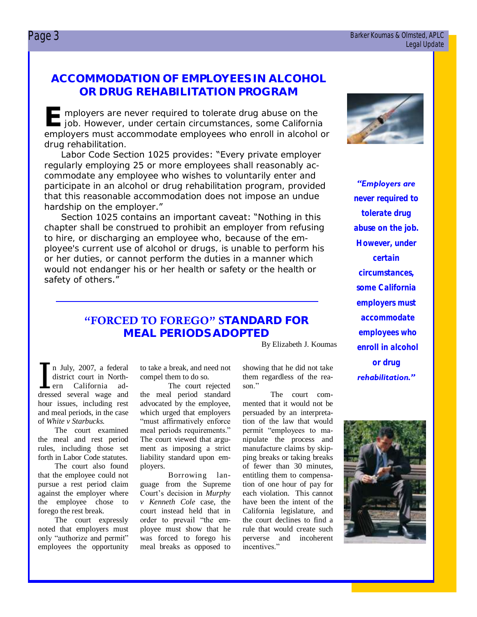### Page 3 Barker Koumas & Olmsted, APLC Legal Update

# **ACCOMMODATION OF EMPLOYEES IN ALCOHOL OR DRUG REHABILITATION PROGRAM**

**E** mployers are never required to tolerate drug abuse on the job. However, under certain circumstances, some California job. However, under certain circumstances, some California employers must accommodate employees who enroll in alcohol or drug rehabilitation.

Labor Code Section 1025 provides: "Every private employer regularly employing 25 or more employees shall reasonably accommodate any employee who wishes to voluntarily enter and participate in an alcohol or drug rehabilitation program, provided that this reasonable accommodation does not impose an undue hardship on the employer."

Section 1025 contains an important caveat: "Nothing in this chapter shall be construed to prohibit an employer from refusing to hire, or discharging an employee who, because of the employee's current use of alcohol or drugs, is unable to perform his or her duties, or cannot perform the duties in a manner which would not endanger his or her health or safety or the health or safety of others."

# **"FORCED TO FOREGO" STANDARD FOR MEAL PERIODS ADOPTED**

By Elizabeth J. Koumas

n July, 2007, a federal<br>district court in North-<br>ern California ad-<br>dressed several wage and n July, 2007, a federal district court in Northern California adhour issues, including rest and meal periods, in the case of *White v Starbucks*.

The court examined the meal and rest period rules, including those set forth in Labor Code statutes.

The court also found that the employee could not pursue a rest period claim against the employer where the employee chose to forego the rest break.

The court expressly noted that employers must only "authorize and permit" employees the opportunity

to take a break, and need not compel them to do so.

The court rejected the meal period standard advocated by the employee, which urged that employers "must affirmatively enforce meal periods requirements." The court viewed that argument as imposing a strict liability standard upon employers.

Borrowing language from the Supreme Court's decision in *Murphy v Kenneth Cole* case, the court instead held that in order to prevail "the employee must show that he was forced to forego his meal breaks as opposed to

showing that he did not take them regardless of the reason<sup>"</sup>

The court commented that it would not be persuaded by an interpretation of the law that would permit "employees to manipulate the process and manufacture claims by skipping breaks or taking breaks of fewer than 30 minutes, entitling them to compensation of one hour of pay for each violation. This cannot have been the intent of the California legislature, and the court declines to find a rule that would create such perverse and incoherent incentives."



*"Employers are never required to tolerate drug abuse on the job. However, under certain circumstances, some California employers must accommodate employees who enroll in alcohol or drug rehabilitation."* 

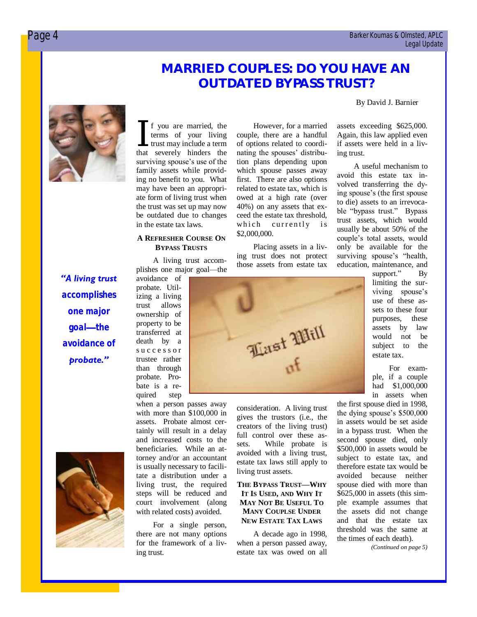# **MARRIED COUPLES: DO YOU HAVE AN OUTDATED BYPASS TRUST?**

However, for a married couple, there are a handful of options related to coordinating the spouses' distribution plans depending upon which spouse passes away first. There are also options related to estate tax, which is owed at a high rate (over 40%) on any assets that exceed the estate tax threshold, which currently is

Placing assets in a living trust does not protect those assets from estate tax

#### By David J. Barnier



If you are married, the<br>terms of your living<br>trust may include a term<br>that severely hinders the f you are married, the terms of your living trust may include a term surviving spouse's use of the family assets while providing no benefit to you. What may have been an appropriate form of living trust when the trust was set up may now be outdated due to changes in the estate tax laws.

# **A REFRESHER COURSE ON BYPASS TRUSTS**

A living trust accomplishes one major goal—the

*"A living trust accomplishes one major goal—the avoidance of probate."* 

avoidance of probate. Utilizing a living trust allows ownership of property to be transferred at death by a s u c c e s s o r trustee rather than through probate. Probate is a re-



when a person passes away with more than \$100,000 in assets. Probate almost certainly will result in a delay and increased costs to the beneficiaries. While an attorney and/or an accountant is usually necessary to facilitate a distribution under a living trust, the required steps will be reduced and court involvement (along with related costs) avoided.

For a single person, there are not many options for the framework of a living trust.

consideration. A living trust gives the trustors (i.e., the creators of the living trust) full control over these assets. While probate is avoided with a living trust, estate tax laws still apply to living trust assets.

# **THE BYPASS TRUST—WHY IT IS USED, AND WHY IT MAY NOT BE USEFUL TO MANY COUPLSE UNDER NEW ESTATE TAX LAWS**

A decade ago in 1998, when a person passed away, estate tax was owed on all assets exceeding \$625,000. Again, this law applied even if assets were held in a living trust.

A useful mechanism to avoid this estate tax involved transferring the dying spouse's (the first spouse to die) assets to an irrevocable "bypass trust." Bypass trust assets, which would usually be about 50% of the couple's total assets, would only be available for the surviving spouse's "health, education, maintenance, and

> support." By limiting the surviving spouse's use of these assets to these four purposes, these assets by law would not be subject to the estate tax.

For example, if a couple had \$1,000,000 in assets when

the first spouse died in 1998, the dying spouse's \$500,000 in assets would be set aside in a bypass trust. When the second spouse died, only \$500,000 in assets would be subject to estate tax, and therefore estate tax would be avoided because neither spouse died with more than \$625,000 in assets (this simple example assumes that the assets did not change and that the estate tax threshold was the same at the times of each death).

*(Continued on page 5)*



\$2,000,000.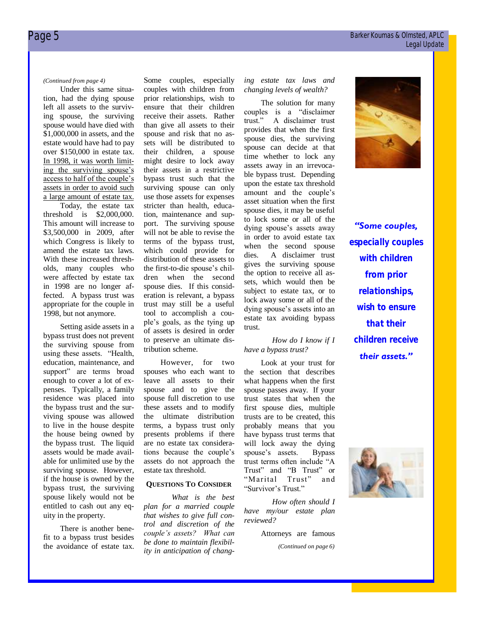Under this same situation, had the dying spouse left all assets to the surviving spouse, the surviving spouse would have died with \$1,000,000 in assets, and the estate would have had to pay over \$150,000 in estate tax. In 1998, it was worth limiting the surviving spouse's access to half of the couple's assets in order to avoid such a large amount of estate tax.

Today, the estate tax threshold is \$2,000,000. This amount will increase to \$3,500,000 in 2009, after which Congress is likely to amend the estate tax laws. With these increased thresholds, many couples who were affected by estate tax in 1998 are no longer affected. A bypass trust was appropriate for the couple in 1998, but not anymore.

Setting aside assets in a bypass trust does not prevent the surviving spouse from using these assets. "Health, education, maintenance, and support" are terms broad enough to cover a lot of expenses. Typically, a family residence was placed into the bypass trust and the surviving spouse was allowed to live in the house despite the house being owned by the bypass trust. The liquid assets would be made available for unlimited use by the surviving spouse. However, if the house is owned by the bypass trust, the surviving spouse likely would not be entitled to cash out any equity in the property.

There is another benefit to a bypass trust besides the avoidance of estate tax.

*(Continued from page 4)* Some couples, especially couples with children from prior relationships, wish to ensure that their children receive their assets. Rather than give all assets to their spouse and risk that no assets will be distributed to their children, a spouse might desire to lock away their assets in a restrictive bypass trust such that the surviving spouse can only use those assets for expenses stricter than health, education, maintenance and support. The surviving spouse will not be able to revise the terms of the bypass trust, which could provide for distribution of these assets to the first-to-die spouse's children when the second spouse dies. If this consideration is relevant, a bypass trust may still be a useful tool to accomplish a couple's goals, as the tying up of assets is desired in order to preserve an ultimate distribution scheme.

> However, for two spouses who each want to leave all assets to their spouse and to give the spouse full discretion to use these assets and to modify the ultimate distribution terms, a bypass trust only presents problems if there are no estate tax considerations because the couple's assets do not approach the estate tax threshold.

# **QUESTIONS TO CONSIDER**

*What is the best plan for a married couple that wishes to give full control and discretion of the couple's assets? What can be done to maintain flexibility in anticipation of chang-* *ing estate tax laws and changing levels of wealth?* 

The solution for many couples is a "disclaimer<br>trust." A disclaimer trust A disclaimer trust provides that when the first spouse dies, the surviving spouse can decide at that time whether to lock any assets away in an irrevocable bypass trust. Depending upon the estate tax threshold amount and the couple's asset situation when the first spouse dies, it may be useful to lock some or all of the dying spouse's assets away in order to avoid estate tax when the second spouse dies. A disclaimer trust gives the surviving spouse the option to receive all assets, which would then be subject to estate tax, or to lock away some or all of the dying spouse's assets into an estate tax avoiding bypass trust.

### *How do I know if I have a bypass trust?*

Look at your trust for the section that describes what happens when the first spouse passes away. If your trust states that when the first spouse dies, multiple trusts are to be created, this probably means that you have bypass trust terms that will lock away the dying spouse's assets. Bypass trust terms often include "A Trust" and "B Trust" or "Marital Trust" and "Survivor's Trust."

*How often should I have my/our estate plan reviewed?*

Attorneys are famous

*(Continued on page 6)*



*"Some couples, especially couples with children from prior relationships, wish to ensure that their children receive their assets."* 

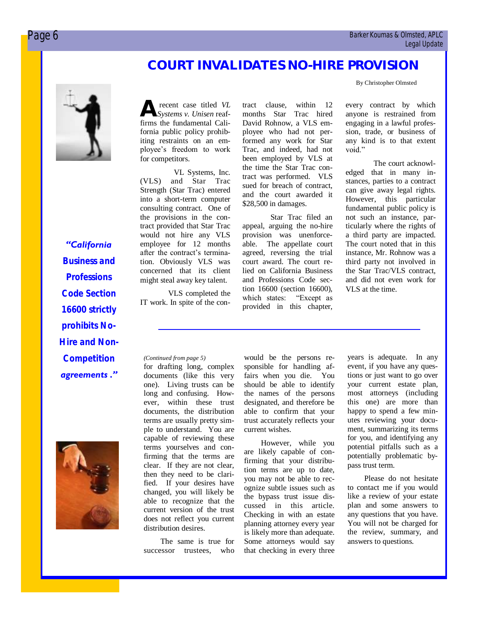# **COURT INVALIDATES NO-HIRE PROVISION**

By Christopher Olmsted

*"California Business and Professions Code Section 16600 strictly prohibits No-Hire and Non-Competition agreements ."*



**A** firms the fundamental Cali-<br>firms the fundamental Calirecent case titled *VL Systems v. Unisen* reaffornia public policy prohibiting restraints on an employee's freedom to work for competitors.

VL Systems, Inc. (VLS) and Star Trac Strength (Star Trac) entered into a short-term computer consulting contract. One of the provisions in the contract provided that Star Trac would not hire any VLS employee for 12 months after the contract's termination. Obviously VLS was concerned that its client might steal away key talent.

VLS completed the IT work. In spite of the contract clause, within 12 months Star Trac hired David Rohnow, a VLS employee who had not performed any work for Star Trac, and indeed, had not been employed by VLS at the time the Star Trac contract was performed. VLS sued for breach of contract, and the court awarded it \$28,500 in damages.

Star Trac filed an appeal, arguing the no-hire provision was unenforceable. The appellate court agreed, reversing the trial court award. The court relied on California Business and Professions Code section 16600 (section 16600), which states: "Except as provided in this chapter,

every contract by which anyone is restrained from engaging in a lawful profession, trade, or business of any kind is to that extent void."

The court acknowledged that in many instances, parties to a contract can give away legal rights. However, this particular fundamental public policy is not such an instance, particularly where the rights of a third party are impacted. The court noted that in this instance, Mr. Rohnow was a third party not involved in the Star Trac/VLS contract, and did not even work for VLS at the time.

for drafting long, complex documents (like this very one). Living trusts can be long and confusing. However, within these trust documents, the distribution terms are usually pretty simple to understand. You are capable of reviewing these terms yourselves and confirming that the terms are clear. If they are not clear, then they need to be clarified. If your desires have changed, you will likely be able to recognize that the current version of the trust does not reflect you current distribution desires.

The same is true for successor trustees, who

*(Continued from page 5)* would be the persons responsible for handling affairs when you die. You should be able to identify the names of the persons designated, and therefore be able to confirm that your trust accurately reflects your current wishes.

> However, while you are likely capable of confirming that your distribution terms are up to date, you may not be able to recognize subtle issues such as the bypass trust issue discussed in this article. Checking in with an estate planning attorney every year is likely more than adequate. Some attorneys would say that checking in every three

years is adequate. In any event, if you have any questions or just want to go over your current estate plan, most attorneys (including this one) are more than happy to spend a few minutes reviewing your document, summarizing its terms for you, and identifying any potential pitfalls such as a potentially problematic bypass trust term.

Please do not hesitate to contact me if you would like a review of your estate plan and some answers to any questions that you have. You will not be charged for the review, summary, and answers to questions.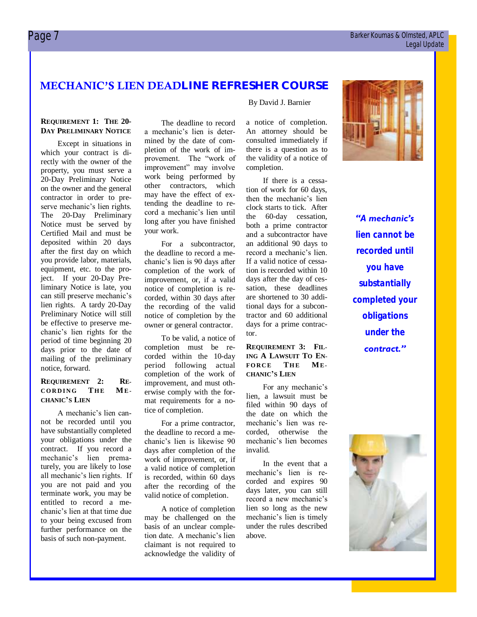# $\Box$  Barker Koumas & Olmsted, APLC Legal Update

# **MECHANIC'S LIEN DEADLINE REFRESHER COURSE**

# **REQUIREMENT 1: THE 20- DAY PRELIMINARY NOTICE**

Except in situations in which your contract is directly with the owner of the property, you must serve a 20-Day Preliminary Notice on the owner and the general contractor in order to preserve mechanic's lien rights. The 20-Day Preliminary Notice must be served by Certified Mail and must be deposited within 20 days after the first day on which you provide labor, materials, equipment, etc. to the project. If your 20-Day Preliminary Notice is late, you can still preserve mechanic's lien rights. A tardy 20-Day Preliminary Notice will still be effective to preserve mechanic's lien rights for the period of time beginning 20 days prior to the date of mailing of the preliminary notice, forward.

# **REQUIREMENT 2: RE-C O R D I N G TH E ME - CHANIC'S LIEN**

A mechanic's lien cannot be recorded until you have substantially completed your obligations under the contract. If you record a mechanic's lien prematurely, you are likely to lose all mechanic's lien rights. If you are not paid and you terminate work, you may be entitled to record a mechanic's lien at that time due to your being excused from further performance on the basis of such non-payment.

The deadline to record a mechanic's lien is determined by the date of completion of the work of improvement. The "work of improvement" may involve work being performed by other contractors, which may have the effect of extending the deadline to record a mechanic's lien until long after you have finished your work.

For a subcontractor, the deadline to record a mechanic's lien is 90 days after completion of the work of improvement, or, if a valid notice of completion is recorded, within 30 days after the recording of the valid notice of completion by the owner or general contractor.

To be valid, a notice of completion must be recorded within the 10-day period following actual completion of the work of improvement, and must otherwise comply with the format requirements for a notice of completion.

For a prime contractor, the deadline to record a mechanic's lien is likewise 90 days after completion of the work of improvement, or, if a valid notice of completion is recorded, within 60 days after the recording of the valid notice of completion.

A notice of completion may be challenged on the basis of an unclear completion date. A mechanic's lien claimant is not required to acknowledge the validity of

### By David J. Barnier

a notice of completion. An attorney should be consulted immediately if there is a question as to the validity of a notice of completion.

If there is a cessation of work for 60 days, then the mechanic's lien clock starts to tick. After the 60-day cessation, both a prime contractor and a subcontractor have an additional 90 days to record a mechanic's lien. If a valid notice of cessation is recorded within 10 days after the day of cessation, these deadlines are shortened to 30 additional days for a subcontractor and 60 additional days for a prime contractor.

# **REQUIREMENT 3: FIL-ING A LAWSUIT TO EN-FORCE THE ME-CHANIC'S LIEN**

For any mechanic's lien, a lawsuit must be filed within 90 days of the date on which the mechanic's lien was recorded, otherwise the mechanic's lien becomes invalid.

In the event that a mechanic's lien is recorded and expires 90 days later, you can still record a new mechanic's lien so long as the new mechanic's lien is timely under the rules described above.



*"A mechanic's lien cannot be recorded until you have substantially completed your obligations under the contract."*